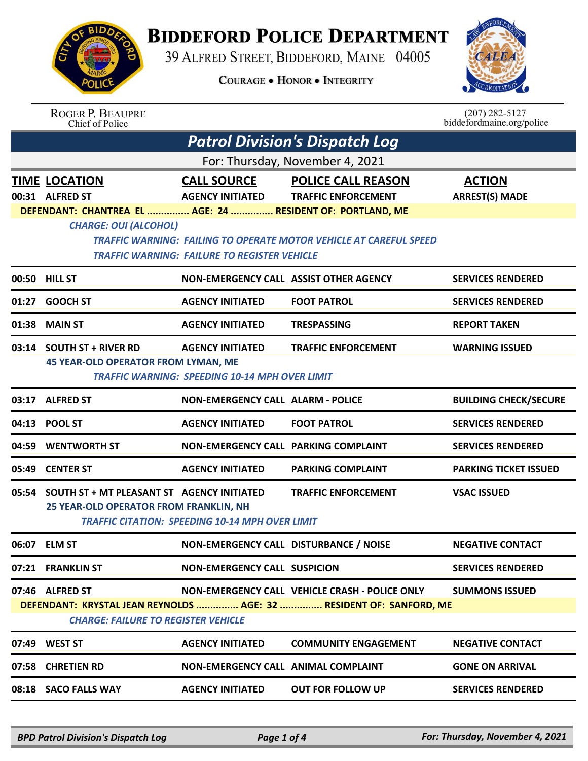

## **BIDDEFORD POLICE DEPARTMENT**

39 ALFRED STREET, BIDDEFORD, MAINE 04005

**COURAGE . HONOR . INTEGRITY** 



| <b>ROGER P. BEAUPRE</b> |
|-------------------------|
| Chief of Police         |

 $(207)$  282-5127 biddefordmaine.org/police

|                                                                                                                   | <b>Patrol Division's Dispatch Log</b>                                                                                                                                                                                   |                                               |                                                         |                                        |  |  |  |
|-------------------------------------------------------------------------------------------------------------------|-------------------------------------------------------------------------------------------------------------------------------------------------------------------------------------------------------------------------|-----------------------------------------------|---------------------------------------------------------|----------------------------------------|--|--|--|
|                                                                                                                   | For: Thursday, November 4, 2021                                                                                                                                                                                         |                                               |                                                         |                                        |  |  |  |
|                                                                                                                   | <b>TIME LOCATION</b><br>00:31 ALFRED ST                                                                                                                                                                                 | <b>CALL SOURCE</b><br><b>AGENCY INITIATED</b> | <b>POLICE CALL REASON</b><br><b>TRAFFIC ENFORCEMENT</b> | <b>ACTION</b><br><b>ARREST(S) MADE</b> |  |  |  |
|                                                                                                                   | DEFENDANT: CHANTREA EL  AGE: 24  RESIDENT OF: PORTLAND, ME<br><b>CHARGE: OUI (ALCOHOL)</b><br>TRAFFIC WARNING: FAILING TO OPERATE MOTOR VEHICLE AT CAREFUL SPEED<br><b>TRAFFIC WARNING: FAILURE TO REGISTER VEHICLE</b> |                                               |                                                         |                                        |  |  |  |
|                                                                                                                   | 00:50 HILL ST                                                                                                                                                                                                           | NON-EMERGENCY CALL ASSIST OTHER AGENCY        |                                                         | <b>SERVICES RENDERED</b>               |  |  |  |
| 01:27                                                                                                             | <b>GOOCH ST</b>                                                                                                                                                                                                         | <b>AGENCY INITIATED</b>                       | <b>FOOT PATROL</b>                                      | <b>SERVICES RENDERED</b>               |  |  |  |
| 01:38                                                                                                             | <b>MAIN ST</b>                                                                                                                                                                                                          | <b>AGENCY INITIATED</b>                       | <b>TRESPASSING</b>                                      | <b>REPORT TAKEN</b>                    |  |  |  |
|                                                                                                                   | 03:14 SOUTH ST + RIVER RD                                                                                                                                                                                               | <b>AGENCY INITIATED</b>                       | <b>TRAFFIC ENFORCEMENT</b>                              | <b>WARNING ISSUED</b>                  |  |  |  |
|                                                                                                                   | <b>45 YEAR-OLD OPERATOR FROM LYMAN, ME</b><br><b>TRAFFIC WARNING: SPEEDING 10-14 MPH OVER LIMIT</b>                                                                                                                     |                                               |                                                         |                                        |  |  |  |
|                                                                                                                   | 03:17 ALFRED ST                                                                                                                                                                                                         | <b>NON-EMERGENCY CALL ALARM - POLICE</b>      |                                                         | <b>BUILDING CHECK/SECURE</b>           |  |  |  |
|                                                                                                                   | 04:13 POOL ST                                                                                                                                                                                                           | <b>AGENCY INITIATED</b>                       | <b>FOOT PATROL</b>                                      | <b>SERVICES RENDERED</b>               |  |  |  |
| 04:59                                                                                                             | <b>WENTWORTH ST</b>                                                                                                                                                                                                     | <b>NON-EMERGENCY CALL PARKING COMPLAINT</b>   |                                                         | <b>SERVICES RENDERED</b>               |  |  |  |
|                                                                                                                   | 05:49 CENTER ST                                                                                                                                                                                                         | <b>AGENCY INITIATED</b>                       | <b>PARKING COMPLAINT</b>                                | <b>PARKING TICKET ISSUED</b>           |  |  |  |
|                                                                                                                   | 05:54 SOUTH ST + MT PLEASANT ST AGENCY INITIATED                                                                                                                                                                        |                                               | <b>TRAFFIC ENFORCEMENT</b>                              | <b>VSAC ISSUED</b>                     |  |  |  |
|                                                                                                                   | 25 YEAR-OLD OPERATOR FROM FRANKLIN, NH<br><b>TRAFFIC CITATION: SPEEDING 10-14 MPH OVER LIMIT</b>                                                                                                                        |                                               |                                                         |                                        |  |  |  |
|                                                                                                                   | 06:07 ELM ST                                                                                                                                                                                                            | NON-EMERGENCY CALL DISTURBANCE / NOISE        |                                                         | <b>NEGATIVE CONTACT</b>                |  |  |  |
|                                                                                                                   | 07:21 FRANKLIN ST                                                                                                                                                                                                       | <b>NON-EMERGENCY CALL SUSPICION</b>           |                                                         | <b>SERVICES RENDERED</b>               |  |  |  |
|                                                                                                                   | 07:46 ALFRED ST                                                                                                                                                                                                         |                                               | <b>NON-EMERGENCY CALL VEHICLE CRASH - POLICE ONLY</b>   | <b>SUMMONS ISSUED</b>                  |  |  |  |
| DEFENDANT: KRYSTAL JEAN REYNOLDS  AGE: 32  RESIDENT OF: SANFORD, ME<br><b>CHARGE: FAILURE TO REGISTER VEHICLE</b> |                                                                                                                                                                                                                         |                                               |                                                         |                                        |  |  |  |
|                                                                                                                   | 07:49 WEST ST                                                                                                                                                                                                           | <b>AGENCY INITIATED</b>                       | <b>COMMUNITY ENGAGEMENT</b>                             | <b>NEGATIVE CONTACT</b>                |  |  |  |
| 07:58                                                                                                             | <b>CHRETIEN RD</b>                                                                                                                                                                                                      | <b>NON-EMERGENCY CALL ANIMAL COMPLAINT</b>    |                                                         | <b>GONE ON ARRIVAL</b>                 |  |  |  |
| 08:18                                                                                                             | <b>SACO FALLS WAY</b>                                                                                                                                                                                                   | <b>AGENCY INITIATED</b>                       | <b>OUT FOR FOLLOW UP</b>                                | <b>SERVICES RENDERED</b>               |  |  |  |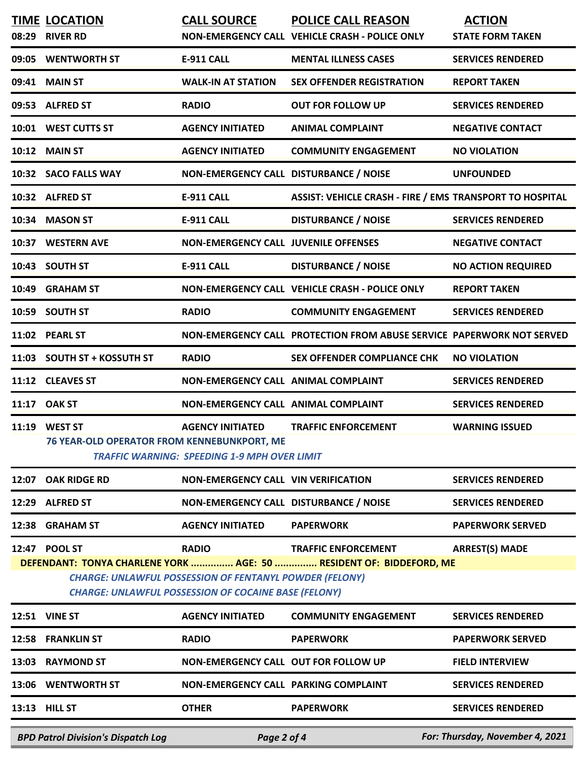| 08:29                                                                                                                                                                                                                                                                                        | <b>TIME LOCATION</b><br><b>RIVER RD</b>                       | <b>CALL SOURCE</b>                                                             | <b>POLICE CALL REASON</b><br>NON-EMERGENCY CALL VEHICLE CRASH - POLICE ONLY | <b>ACTION</b><br><b>STATE FORM TAKEN</b> |  |  |
|----------------------------------------------------------------------------------------------------------------------------------------------------------------------------------------------------------------------------------------------------------------------------------------------|---------------------------------------------------------------|--------------------------------------------------------------------------------|-----------------------------------------------------------------------------|------------------------------------------|--|--|
| 09:05                                                                                                                                                                                                                                                                                        | <b>WENTWORTH ST</b>                                           | <b>E-911 CALL</b>                                                              | <b>MENTAL ILLNESS CASES</b>                                                 | <b>SERVICES RENDERED</b>                 |  |  |
| 09:41                                                                                                                                                                                                                                                                                        | <b>MAIN ST</b>                                                | <b>WALK-IN AT STATION</b>                                                      | <b>SEX OFFENDER REGISTRATION</b>                                            | <b>REPORT TAKEN</b>                      |  |  |
| 09:53                                                                                                                                                                                                                                                                                        | <b>ALFRED ST</b>                                              | <b>RADIO</b>                                                                   | <b>OUT FOR FOLLOW UP</b>                                                    | <b>SERVICES RENDERED</b>                 |  |  |
|                                                                                                                                                                                                                                                                                              | 10:01 WEST CUTTS ST                                           | <b>AGENCY INITIATED</b>                                                        | <b>ANIMAL COMPLAINT</b>                                                     | <b>NEGATIVE CONTACT</b>                  |  |  |
| 10:12                                                                                                                                                                                                                                                                                        | <b>MAIN ST</b>                                                | <b>AGENCY INITIATED</b>                                                        | <b>COMMUNITY ENGAGEMENT</b>                                                 | <b>NO VIOLATION</b>                      |  |  |
|                                                                                                                                                                                                                                                                                              | 10:32 SACO FALLS WAY                                          | NON-EMERGENCY CALL DISTURBANCE / NOISE                                         |                                                                             | <b>UNFOUNDED</b>                         |  |  |
|                                                                                                                                                                                                                                                                                              | 10:32 ALFRED ST                                               | <b>E-911 CALL</b>                                                              | <b>ASSIST: VEHICLE CRASH - FIRE / EMS TRANSPORT TO HOSPITAL</b>             |                                          |  |  |
| 10:34                                                                                                                                                                                                                                                                                        | <b>MASON ST</b>                                               | <b>E-911 CALL</b>                                                              | <b>DISTURBANCE / NOISE</b>                                                  | <b>SERVICES RENDERED</b>                 |  |  |
| 10:37                                                                                                                                                                                                                                                                                        | <b>WESTERN AVE</b>                                            | <b>NON-EMERGENCY CALL JUVENILE OFFENSES</b>                                    |                                                                             | <b>NEGATIVE CONTACT</b>                  |  |  |
| 10:43                                                                                                                                                                                                                                                                                        | <b>SOUTH ST</b>                                               | <b>E-911 CALL</b>                                                              | <b>DISTURBANCE / NOISE</b>                                                  | <b>NO ACTION REQUIRED</b>                |  |  |
| 10:49                                                                                                                                                                                                                                                                                        | <b>GRAHAM ST</b>                                              |                                                                                | NON-EMERGENCY CALL VEHICLE CRASH - POLICE ONLY                              | <b>REPORT TAKEN</b>                      |  |  |
| 10:59                                                                                                                                                                                                                                                                                        | <b>SOUTH ST</b>                                               | <b>RADIO</b>                                                                   | <b>COMMUNITY ENGAGEMENT</b>                                                 | <b>SERVICES RENDERED</b>                 |  |  |
| 11:02                                                                                                                                                                                                                                                                                        | <b>PEARL ST</b>                                               |                                                                                | NON-EMERGENCY CALL PROTECTION FROM ABUSE SERVICE PAPERWORK NOT SERVED       |                                          |  |  |
| 11:03                                                                                                                                                                                                                                                                                        | <b>SOUTH ST + KOSSUTH ST</b>                                  | <b>RADIO</b>                                                                   | <b>SEX OFFENDER COMPLIANCE CHK</b>                                          | <b>NO VIOLATION</b>                      |  |  |
| 11:12                                                                                                                                                                                                                                                                                        | <b>CLEAVES ST</b>                                             | NON-EMERGENCY CALL ANIMAL COMPLAINT                                            |                                                                             | <b>SERVICES RENDERED</b>                 |  |  |
| 11:17                                                                                                                                                                                                                                                                                        | <b>OAK ST</b>                                                 | NON-EMERGENCY CALL ANIMAL COMPLAINT                                            |                                                                             | <b>SERVICES RENDERED</b>                 |  |  |
| 11:19                                                                                                                                                                                                                                                                                        | <b>WEST ST</b><br>76 YEAR-OLD OPERATOR FROM KENNEBUNKPORT, ME | <b>AGENCY INITIATED</b><br><b>TRAFFIC WARNING: SPEEDING 1-9 MPH OVER LIMIT</b> | <b>TRAFFIC ENFORCEMENT</b>                                                  | <b>WARNING ISSUED</b>                    |  |  |
| 12:07                                                                                                                                                                                                                                                                                        | <b>OAK RIDGE RD</b>                                           | <b>NON-EMERGENCY CALL VIN VERIFICATION</b>                                     |                                                                             | <b>SERVICES RENDERED</b>                 |  |  |
| 12:29                                                                                                                                                                                                                                                                                        | <b>ALFRED ST</b>                                              | NON-EMERGENCY CALL DISTURBANCE / NOISE                                         |                                                                             | <b>SERVICES RENDERED</b>                 |  |  |
| 12:38                                                                                                                                                                                                                                                                                        | <b>GRAHAM ST</b>                                              | <b>AGENCY INITIATED</b>                                                        | <b>PAPERWORK</b>                                                            | <b>PAPERWORK SERVED</b>                  |  |  |
| 12:47 POOL ST<br><b>RADIO</b><br><b>TRAFFIC ENFORCEMENT</b><br><b>ARREST(S) MADE</b><br>DEFENDANT: TONYA CHARLENE YORK  AGE: 50  RESIDENT OF: BIDDEFORD, ME<br><b>CHARGE: UNLAWFUL POSSESSION OF FENTANYL POWDER (FELONY)</b><br><b>CHARGE: UNLAWFUL POSSESSION OF COCAINE BASE (FELONY)</b> |                                                               |                                                                                |                                                                             |                                          |  |  |
|                                                                                                                                                                                                                                                                                              | 12:51 VINE ST                                                 | <b>AGENCY INITIATED</b>                                                        | <b>COMMUNITY ENGAGEMENT</b>                                                 | <b>SERVICES RENDERED</b>                 |  |  |
| 12:58                                                                                                                                                                                                                                                                                        | <b>FRANKLIN ST</b>                                            | <b>RADIO</b>                                                                   | <b>PAPERWORK</b>                                                            | <b>PAPERWORK SERVED</b>                  |  |  |
| 13:03                                                                                                                                                                                                                                                                                        | <b>RAYMOND ST</b>                                             | NON-EMERGENCY CALL OUT FOR FOLLOW UP                                           |                                                                             | <b>FIELD INTERVIEW</b>                   |  |  |
|                                                                                                                                                                                                                                                                                              | 13:06 WENTWORTH ST                                            | <b>NON-EMERGENCY CALL PARKING COMPLAINT</b>                                    |                                                                             | <b>SERVICES RENDERED</b>                 |  |  |
|                                                                                                                                                                                                                                                                                              | 13:13 HILL ST                                                 | <b>OTHER</b>                                                                   | <b>PAPERWORK</b>                                                            | <b>SERVICES RENDERED</b>                 |  |  |
|                                                                                                                                                                                                                                                                                              | <b>BPD Patrol Division's Dispatch Log</b>                     | Page 2 of 4                                                                    |                                                                             | For: Thursday, November 4, 2021          |  |  |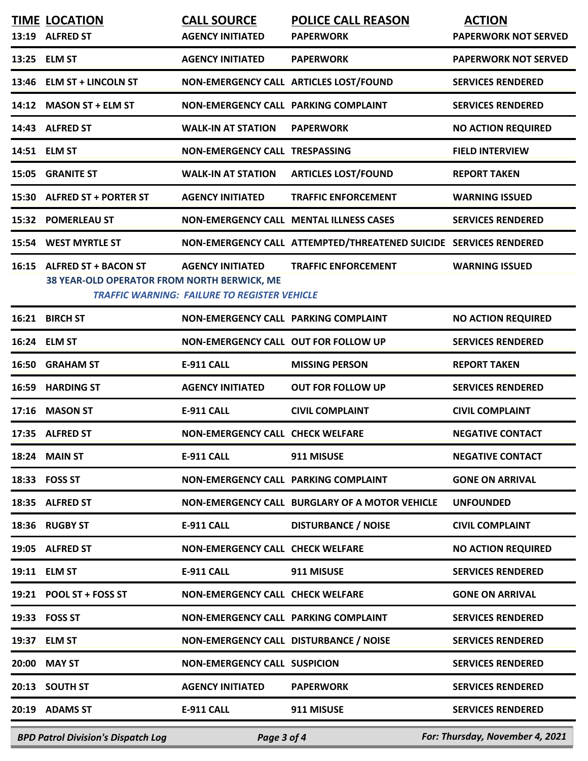| <b>TIME LOCATION</b><br>13:19 ALFRED ST                                   | <b>CALL SOURCE</b><br><b>AGENCY INITIATED</b>                                  | <b>POLICE CALL REASON</b><br><b>PAPERWORK</b>                     | <b>ACTION</b><br><b>PAPERWORK NOT SERVED</b> |
|---------------------------------------------------------------------------|--------------------------------------------------------------------------------|-------------------------------------------------------------------|----------------------------------------------|
| 13:25 ELM ST                                                              | <b>AGENCY INITIATED</b>                                                        | <b>PAPERWORK</b>                                                  | <b>PAPERWORK NOT SERVED</b>                  |
| 13:46 ELM ST + LINCOLN ST                                                 | NON-EMERGENCY CALL ARTICLES LOST/FOUND                                         |                                                                   | <b>SERVICES RENDERED</b>                     |
| 14:12 MASON ST + ELM ST                                                   | NON-EMERGENCY CALL PARKING COMPLAINT                                           |                                                                   | <b>SERVICES RENDERED</b>                     |
| 14:43 ALFRED ST                                                           | <b>WALK-IN AT STATION</b>                                                      | <b>PAPERWORK</b>                                                  | <b>NO ACTION REQUIRED</b>                    |
| 14:51 ELM ST                                                              | NON-EMERGENCY CALL TRESPASSING                                                 |                                                                   | <b>FIELD INTERVIEW</b>                       |
| 15:05 GRANITE ST                                                          | <b>WALK-IN AT STATION</b>                                                      | <b>ARTICLES LOST/FOUND</b>                                        | <b>REPORT TAKEN</b>                          |
| 15:30 ALFRED ST + PORTER ST                                               | <b>AGENCY INITIATED</b>                                                        | <b>TRAFFIC ENFORCEMENT</b>                                        | <b>WARNING ISSUED</b>                        |
| 15:32 POMERLEAU ST                                                        |                                                                                | NON-EMERGENCY CALL MENTAL ILLNESS CASES                           | <b>SERVICES RENDERED</b>                     |
| 15:54 WEST MYRTLE ST                                                      |                                                                                | NON-EMERGENCY CALL ATTEMPTED/THREATENED SUICIDE SERVICES RENDERED |                                              |
| 16:15 ALFRED ST + BACON ST<br>38 YEAR-OLD OPERATOR FROM NORTH BERWICK, ME | <b>AGENCY INITIATED</b><br><b>TRAFFIC WARNING: FAILURE TO REGISTER VEHICLE</b> | <b>TRAFFIC ENFORCEMENT</b>                                        | <b>WARNING ISSUED</b>                        |
| 16:21 BIRCH ST                                                            | NON-EMERGENCY CALL PARKING COMPLAINT                                           |                                                                   | <b>NO ACTION REQUIRED</b>                    |
| 16:24 ELM ST                                                              | NON-EMERGENCY CALL OUT FOR FOLLOW UP                                           |                                                                   | <b>SERVICES RENDERED</b>                     |
| 16:50 GRAHAM ST                                                           | <b>E-911 CALL</b>                                                              | <b>MISSING PERSON</b>                                             | <b>REPORT TAKEN</b>                          |
| 16:59 HARDING ST                                                          | <b>AGENCY INITIATED</b>                                                        | <b>OUT FOR FOLLOW UP</b>                                          | <b>SERVICES RENDERED</b>                     |
| 17:16 MASON ST                                                            | <b>E-911 CALL</b>                                                              | <b>CIVIL COMPLAINT</b>                                            | <b>CIVIL COMPLAINT</b>                       |
| 17:35 ALFRED ST                                                           | <b>NON-EMERGENCY CALL CHECK WELFARE</b>                                        |                                                                   | <b>NEGATIVE CONTACT</b>                      |
| 18:24 MAIN ST                                                             | E-911 CALL                                                                     | 911 MISUSE                                                        | <b>NEGATIVE CONTACT</b>                      |
| 18:33 FOSS ST                                                             | NON-EMERGENCY CALL PARKING COMPLAINT                                           |                                                                   | <b>GONE ON ARRIVAL</b>                       |
| 18:35 ALFRED ST                                                           |                                                                                | NON-EMERGENCY CALL BURGLARY OF A MOTOR VEHICLE                    | <b>UNFOUNDED</b>                             |
| 18:36 RUGBY ST                                                            | E-911 CALL                                                                     | <b>DISTURBANCE / NOISE</b>                                        | <b>CIVIL COMPLAINT</b>                       |
| 19:05 ALFRED ST                                                           | NON-EMERGENCY CALL CHECK WELFARE                                               |                                                                   | <b>NO ACTION REQUIRED</b>                    |
| 19:11 ELM ST                                                              | E-911 CALL                                                                     | 911 MISUSE                                                        | <b>SERVICES RENDERED</b>                     |
| 19:21 POOL ST + FOSS ST                                                   | NON-EMERGENCY CALL CHECK WELFARE                                               |                                                                   | <b>GONE ON ARRIVAL</b>                       |
| 19:33 FOSS ST                                                             | NON-EMERGENCY CALL PARKING COMPLAINT                                           |                                                                   | <b>SERVICES RENDERED</b>                     |
| 19:37 ELM ST                                                              | NON-EMERGENCY CALL DISTURBANCE / NOISE                                         |                                                                   | <b>SERVICES RENDERED</b>                     |
| 20:00 MAY ST                                                              | <b>NON-EMERGENCY CALL SUSPICION</b>                                            |                                                                   | <b>SERVICES RENDERED</b>                     |
| 20:13 SOUTH ST                                                            | <b>AGENCY INITIATED</b>                                                        | <b>PAPERWORK</b>                                                  | <b>SERVICES RENDERED</b>                     |
| 20:19 ADAMS ST                                                            | <b>E-911 CALL</b>                                                              | 911 MISUSE                                                        | <b>SERVICES RENDERED</b>                     |
| <b>BPD Patrol Division's Dispatch Log</b>                                 | Page 3 of 4                                                                    |                                                                   | For: Thursday, November 4, 2021              |